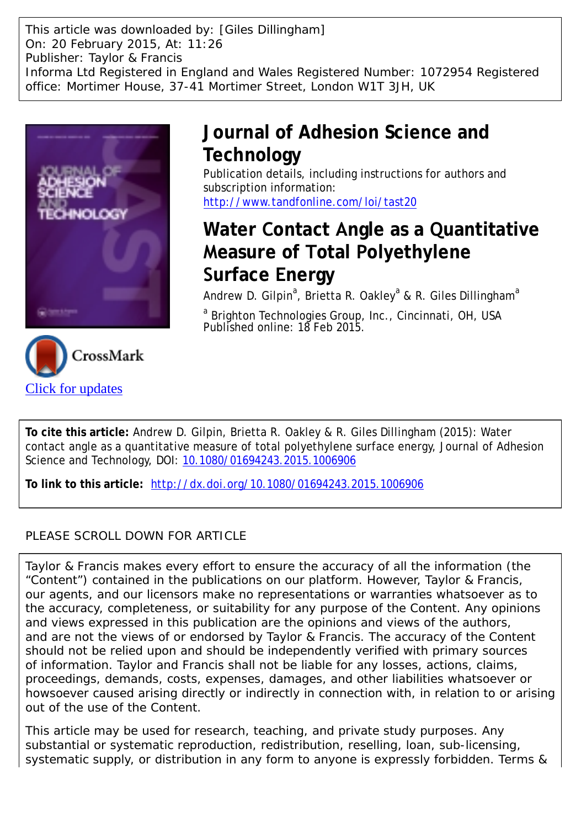This article was downloaded by: [Giles Dillingham] On: 20 February 2015, At: 11:26 Publisher: Taylor & Francis Informa Ltd Registered in England and Wales Registered Number: 1072954 Registered office: Mortimer House, 37-41 Mortimer Street, London W1T 3JH, UK



# **Journal of Adhesion Science and Technology**

Publication details, including instructions for authors and subscription information: <http://www.tandfonline.com/loi/tast20>

# **Water Contact Angle as a Quantitative Measure of Total Polyethylene Surface Energy**

Andrew D. Gilpin<sup>a</sup>, Brietta R. Oakley<sup>a</sup> & R. Giles Dillingham<sup>a</sup>

<sup>a</sup> Brighton Technologies Group, Inc., Cincinnati, OH, USA Published online: 18 Feb 2015.



**To cite this article:** Andrew D. Gilpin, Brietta R. Oakley & R. Giles Dillingham (2015): Water contact angle as a quantitative measure of total polyethylene surface energy, Journal of Adhesion Science and Technology, DOI: [10.1080/01694243.2015.1006906](http://www.tandfonline.com/action/showCitFormats?doi=10.1080/01694243.2015.1006906)

**To link to this article:** <http://dx.doi.org/10.1080/01694243.2015.1006906>

# PLEASE SCROLL DOWN FOR ARTICLE

Taylor & Francis makes every effort to ensure the accuracy of all the information (the "Content") contained in the publications on our platform. However, Taylor & Francis, our agents, and our licensors make no representations or warranties whatsoever as to the accuracy, completeness, or suitability for any purpose of the Content. Any opinions and views expressed in this publication are the opinions and views of the authors, and are not the views of or endorsed by Taylor & Francis. The accuracy of the Content should not be relied upon and should be independently verified with primary sources of information. Taylor and Francis shall not be liable for any losses, actions, claims, proceedings, demands, costs, expenses, damages, and other liabilities whatsoever or howsoever caused arising directly or indirectly in connection with, in relation to or arising out of the use of the Content.

This article may be used for research, teaching, and private study purposes. Any substantial or systematic reproduction, redistribution, reselling, loan, sub-licensing, systematic supply, or distribution in any form to anyone is expressly forbidden. Terms &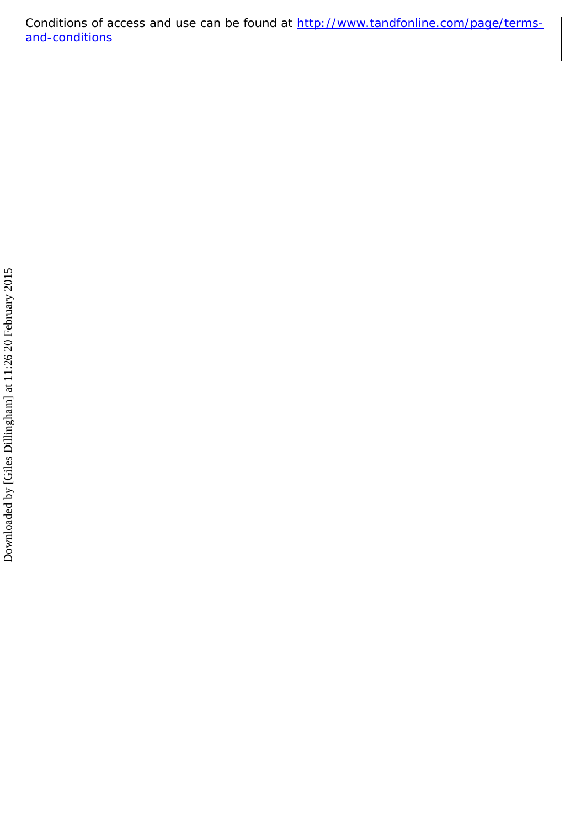Conditions of access and use can be found at [http://www.tandfonline.com/page/terms](http://www.tandfonline.com/page/terms-and-conditions)[and-conditions](http://www.tandfonline.com/page/terms-and-conditions)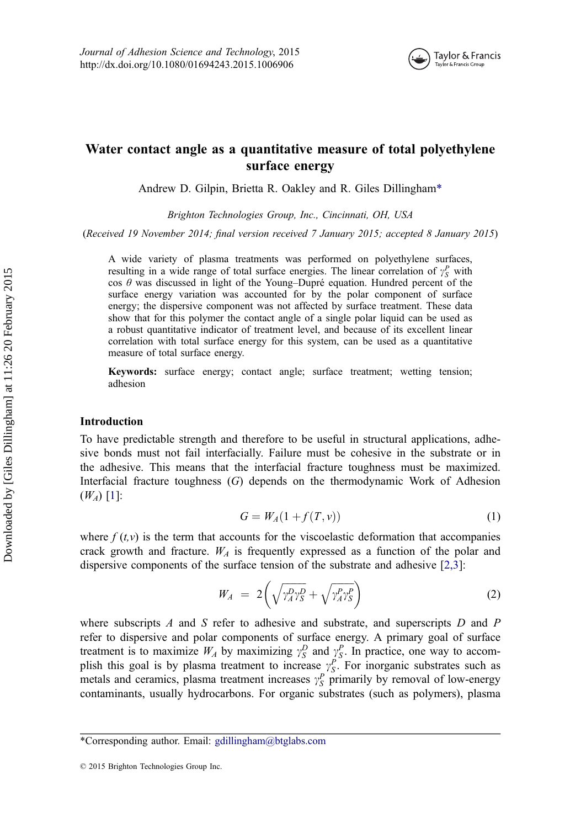

# Water contact angle as a quantitative measure of total polyethylene surface energy

Andrew D. Gilpin, Brietta R. Oakley and R. Giles Dillingham\*

Brighton Technologies Group, Inc., Cincinnati, OH, USA

(Received 19 November 2014; final version received 7 January 2015; accepted 8 January 2015)

A wide variety of plasma treatments was performed on polyethylene surfaces, resulting in a wide range of total surface energies. The linear correlation of  $\gamma_S^P$  with cos  $\theta$  was discussed in light of the Young–Dupré equation. Hundred percent of the surface energy variation was accounted for by the polar component of surface energy; the dispersive component was not affected by surface treatment. These data show that for this polymer the contact angle of a single polar liquid can be used as a robust quantitative indicator of treatment level, and because of its excellent linear correlation with total surface energy for this system, can be used as a quantitative measure of total surface energy.

Keywords: surface energy; contact angle; surface treatment; wetting tension; adhesion

## Introduction

To have predictable strength and therefore to be useful in structural applications, adhesive bonds must not fail interfacially. Failure must be cohesive in the substrate or in the adhesive. This means that the interfacial fracture toughness must be maximized. Interfacial fracture toughness (G) depends on the thermodynamic Work of Adhesion  $(W_A)$  [\[1](#page-6-0)]:

$$
G = W_A(1 + f(T, v))
$$
\n<sup>(1)</sup>

where  $f(t, v)$  is the term that accounts for the viscoelastic deformation that accompanies crack growth and fracture.  $W_A$  is frequently expressed as a function of the polar and dispersive components of the surface tension of the substrate and adhesive [\[2,3\]](#page-6-0):

$$
W_A = 2\left(\sqrt{\gamma_A^D \gamma_S^D} + \sqrt{\gamma_A^P \gamma_S^P}\right) \tag{2}
$$

where subscripts  $A$  and  $S$  refer to adhesive and substrate, and superscripts  $D$  and  $P$ refer to dispersive and polar components of surface energy. A primary goal of surface treatment is to maximize  $W_A$  by maximizing  $\gamma_S^D$  and  $\gamma_S^P$ . In practice, one way to accomplish this goal is by plasma treatment to increase  $y_S^P$ . For inorganic substrates such as metals and ceramics, plasma treatment increases  $\gamma_S^P$  primarily by removal of low-energy contaminants, usually hydrocarbons. For organic substrates (such as polymers), plasma

<sup>\*</sup>Corresponding author. Email: [gdillingham@btglabs.com](mailto:gdillingham@btglabs.com)

<sup>© 2015</sup> Brighton Technologies Group Inc.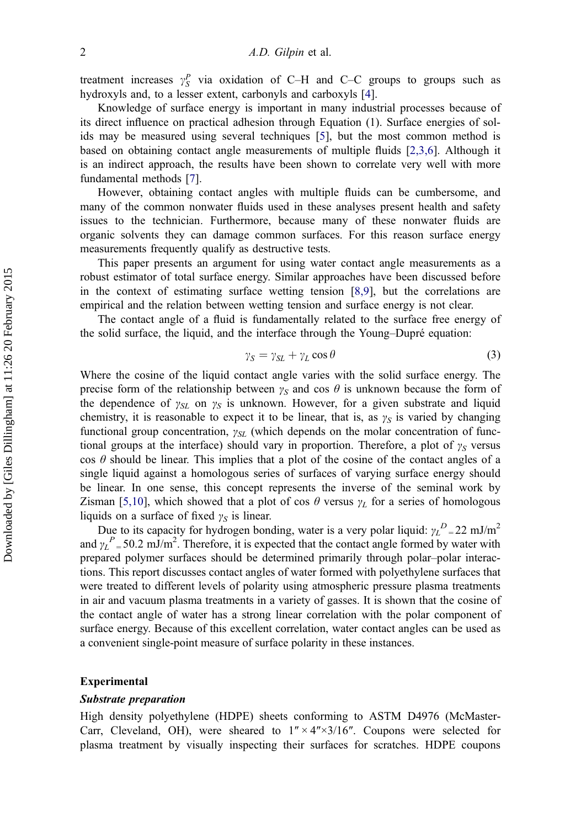treatment increases  $\gamma_S^P$  via oxidation of C–H and C–C groups to groups such as hydroxyls and, to a lesser extent, carbonyls and carboxyls [\[4](#page-7-0)].

Knowledge of surface energy is important in many industrial processes because of its direct influence on practical adhesion through Equation (1). Surface energies of solids may be measured using several techniques [\[5](#page-7-0)], but the most common method is based on obtaining contact angle measurements of multiple fluids [\[2,3,6](#page-6-0)]. Although it is an indirect approach, the results have been shown to correlate very well with more fundamental methods [[7\]](#page-7-0).

However, obtaining contact angles with multiple fluids can be cumbersome, and many of the common nonwater fluids used in these analyses present health and safety issues to the technician. Furthermore, because many of these nonwater fluids are organic solvents they can damage common surfaces. For this reason surface energy measurements frequently qualify as destructive tests.

This paper presents an argument for using water contact angle measurements as a robust estimator of total surface energy. Similar approaches have been discussed before in the context of estimating surface wetting tension [\[8,9\]](#page-7-0), but the correlations are empirical and the relation between wetting tension and surface energy is not clear.

The contact angle of a fluid is fundamentally related to the surface free energy of the solid surface, the liquid, and the interface through the Young–Dupré equation:

$$
\gamma_S = \gamma_{SL} + \gamma_L \cos \theta \tag{3}
$$

Where the cosine of the liquid contact angle varies with the solid surface energy. The precise form of the relationship between  $\gamma_S$  and cos  $\theta$  is unknown because the form of the dependence of  $\gamma_{SL}$  on  $\gamma_S$  is unknown. However, for a given substrate and liquid chemistry, it is reasonable to expect it to be linear, that is, as  $\gamma_S$  is varied by changing functional group concentration,  $\gamma_{SL}$  (which depends on the molar concentration of functional groups at the interface) should vary in proportion. Therefore, a plot of  $\gamma_S$  versus cos  $\theta$  should be linear. This implies that a plot of the cosine of the contact angles of a single liquid against a homologous series of surfaces of varying surface energy should be linear. In one sense, this concept represents the inverse of the seminal work by Zisman [\[5,10\]](#page-7-0), which showed that a plot of cos  $\theta$  versus  $\gamma_L$  for a series of homologous liquids on a surface of fixed  $\gamma_S$  is linear.

Due to its capacity for hydrogen bonding, water is a very polar liquid:  $\gamma_L^D = 22 \text{ mJ/m}^2$ and  $\gamma_L^P = 50.2 \text{ mJ/m}^2$ . Therefore, it is expected that the contact angle formed by water with prepared polymer surfaces should be determined primarily through polar–polar interactions. This report discusses contact angles of water formed with polyethylene surfaces that were treated to different levels of polarity using atmospheric pressure plasma treatments in air and vacuum plasma treatments in a variety of gasses. It is shown that the cosine of the contact angle of water has a strong linear correlation with the polar component of surface energy. Because of this excellent correlation, water contact angles can be used as a convenient single-point measure of surface polarity in these instances.

### Experimental

High density polyethylene (HDPE) sheets conforming to ASTM D4976 (McMaster-Carr, Cleveland, OH), were sheared to  $1'' \times 4'' \times 3/16''$ . Coupons were selected for plasma treatment by visually inspecting their surfaces for scratches. HDPE coupons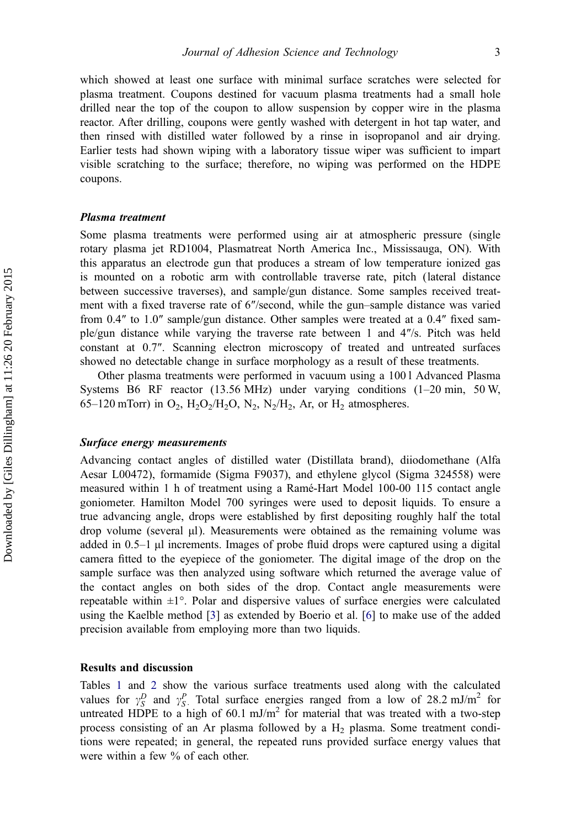which showed at least one surface with minimal surface scratches were selected for plasma treatment. Coupons destined for vacuum plasma treatments had a small hole drilled near the top of the coupon to allow suspension by copper wire in the plasma reactor. After drilling, coupons were gently washed with detergent in hot tap water, and then rinsed with distilled water followed by a rinse in isopropanol and air drying. Earlier tests had shown wiping with a laboratory tissue wiper was sufficient to impart visible scratching to the surface; therefore, no wiping was performed on the HDPE coupons.

### **Plasma** treatment

Plasma treatment Some plasma treatments were performed using air at atmospheric pressure (single rotary plasma jet RD1004, Plasmatreat North America Inc., Mississauga, ON). With this apparatus an electrode gun that produces a stream of low temperature ionized gas is mounted on a robotic arm with controllable traverse rate, pitch (lateral distance between successive traverses), and sample/gun distance. Some samples received treatment with a fixed traverse rate of 6″/second, while the gun–sample distance was varied from 0.4″ to 1.0″ sample/gun distance. Other samples were treated at a 0.4″ fixed sample/gun distance while varying the traverse rate between 1 and 4″/s. Pitch was held constant at 0.7″. Scanning electron microscopy of treated and untreated surfaces showed no detectable change in surface morphology as a result of these treatments.

Other plasma treatments were performed in vacuum using a 100 l Advanced Plasma Systems B6 RF reactor (13.56 MHz) under varying conditions (1–20 min, 50 W, 65–120 mTorr) in  $O_2$ ,  $H_2O_2/H_2O$ ,  $N_2$ ,  $N_2/H_2$ , Ar, or  $H_2$  atmospheres.

Surface energy measurements Advancing contact angles of distilled water (Distillata brand), diiodomethane (Alfa Aesar L00472), formamide (Sigma F9037), and ethylene glycol (Sigma 324558) were measured within 1 h of treatment using a Ramé-Hart Model 100-00 115 contact angle goniometer. Hamilton Model 700 syringes were used to deposit liquids. To ensure a true advancing angle, drops were established by first depositing roughly half the total drop volume (several μl). Measurements were obtained as the remaining volume was added in 0.5–1 μl increments. Images of probe fluid drops were captured using a digital camera fitted to the eyepiece of the goniometer. The digital image of the drop on the sample surface was then analyzed using software which returned the average value of the contact angles on both sides of the drop. Contact angle measurements were repeatable within  $\pm 1^{\circ}$ . Polar and dispersive values of surface energies were calculated using the Kaelble method [[3\]](#page-6-0) as extended by Boerio et al. [[6\]](#page-7-0) to make use of the added precision available from employing more than two liquids.

# Results and discussion

Tables [1](#page-5-0) and [2](#page-5-0) show the various surface treatments used along with the calculated values for  $\gamma_S^D$  and  $\gamma_S^P$ . Total surface energies ranged from a low of 28.2 mJ/m<sup>2</sup> for untreated HDPE to a high of  $60.1 \text{ mJ/m}^2$  for material that was treated with a two-step process consisting of an Ar plasma followed by a  $H_2$  plasma. Some treatment conditions were repeated; in general, the repeated runs provided surface energy values that were within a few % of each other.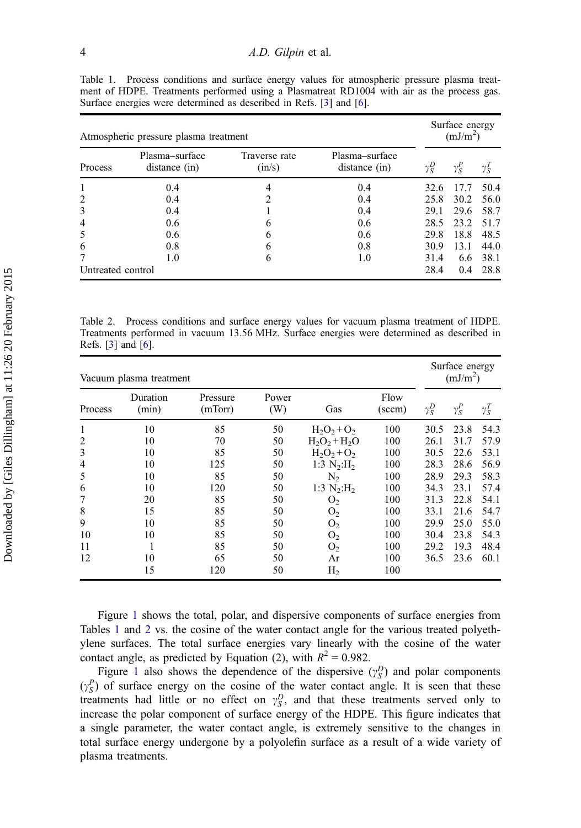| Atmospheric pressure plasma treatment | Surface energy<br>(mJ/m <sup>2</sup> ) |                         |                                 |              |              |              |
|---------------------------------------|----------------------------------------|-------------------------|---------------------------------|--------------|--------------|--------------|
| Process                               | Plasma-surface<br>distance (in)        | Traverse rate<br>(in/s) | Plasma-surface<br>distance (in) | $\gamma_S^D$ | $\gamma_S^P$ | $\gamma_S^T$ |
|                                       | 0.4                                    |                         | 0.4                             | 32.6         | 17.7         | 50.4         |
| $\overline{2}$                        | 0.4                                    | っ                       | 0.4                             | 25.8         | 30.2         | 56.0         |
| 3                                     | 0.4                                    |                         | 0.4                             | 29.1         | 29.6         | 58.7         |
| $\overline{4}$                        | 0.6                                    | 6                       | 0.6                             | 28.5         | 23.2         | 51.7         |
| 5                                     | 0.6                                    | b                       | 0.6                             | 29.8         | 18.8         | 48.5         |
| 6                                     | 0.8                                    | 6                       | 0.8                             | 30.9         | 13.1         | 44.0         |
|                                       | 1.0                                    | 6                       | 1.0                             | 31.4         | 6.6          | 38.1         |
| Untreated control                     | 28.4                                   | 0.4                     | 28.8                            |              |              |              |

<span id="page-5-0"></span>Table 1. Process conditions and surface energy values for atmospheric pressure plasma treatment of HDPE. Treatments performed using a Plasmatreat RD1004 with air as the process gas. Surface energies were determined as described in Refs. [\[3\]](#page-6-0) and [\[6\]](#page-7-0).

Table 2. Process conditions and surface energy values for vacuum plasma treatment of HDPE. Treatments performed in vacuum 13.56 MHz. Surface energies were determined as described in Refs. [\[3\]](#page-6-0) and [[6](#page-7-0)].

| Vacuum plasma treatment |                   |                     |              |                           |                         |              | Surface energy<br>(mJ/m <sup>2</sup> ) |              |  |
|-------------------------|-------------------|---------------------|--------------|---------------------------|-------------------------|--------------|----------------------------------------|--------------|--|
| Process                 | Duration<br>(min) | Pressure<br>(mTorr) | Power<br>(W) | Gas                       | Flow<br>$(\text{sccm})$ | $\gamma_S^D$ | $\gamma_S^P$                           | $\gamma_S^T$ |  |
| 1                       | 10                | 85                  | 50           | $H_2O_2 + O_2$            | 100                     | 30.5         | 23.8                                   | 54.3         |  |
| 2                       | 10                | 70                  | 50           | $H_2O_2 + H_2O$           | 100                     | 26.1         | 31.7                                   | 57.9         |  |
| 3                       | 10                | 85                  | 50           | $H_2O_2 + O_2$            | 100                     | 30.5         | 22.6                                   | 53.1         |  |
| 4                       | 10                | 125                 | 50           | 1:3 $N_2:H_2$             | 100                     | 28.3         | 28.6                                   | 56.9         |  |
| 5                       | 10                | 85                  | 50           | N <sub>2</sub>            | 100                     | 28.9         | 29.3                                   | 58.3         |  |
| 6                       | 10                | 120                 | 50           | 1:3 $N_2$ :H <sub>2</sub> | 100                     | 34.3         | 23.1                                   | 57.4         |  |
|                         | 20                | 85                  | 50           | O <sub>2</sub>            | 100                     | 31.3         | 22.8                                   | 54.1         |  |
| 8                       | 15                | 85                  | 50           | O <sub>2</sub>            | 100                     | 33.1         | 21.6                                   | 54.7         |  |
| 9                       | 10                | 85                  | 50           | O <sub>2</sub>            | 100                     | 29.9         | 25.0                                   | 55.0         |  |
| 10                      | 10                | 85                  | 50           | O <sub>2</sub>            | 100                     | 30.4         | 23.8                                   | 54.3         |  |
| 11                      | 1                 | 85                  | 50           | O <sub>2</sub>            | 100                     | 29.2         | 19.3                                   | 48.4         |  |
| 12                      | 10                | 65                  | 50           | Ar                        | 100                     | 36.5         | 23.6                                   | 60.1         |  |
|                         | 15                | 120                 | 50           | H <sub>2</sub>            | 100                     |              |                                        |              |  |

Figure [1](#page-6-0) shows the total, polar, and dispersive components of surface energies from Tables 1 and 2 vs. the cosine of the water contact angle for the various treated polyethylene surfaces. The total surface energies vary linearly with the cosine of the water contact angle, as predicted by Equation (2), with  $R^2 = 0.982$ .

Figure [1](#page-6-0) also shows the dependence of the dispersive  $(\gamma_S^D)$  and polar components  $(y_S^P)$  of surface energy on the cosine of the water contact angle. It is seen that these treatments had little or no effect on  $\gamma_S^D$ , and that these treatments served only to increase the polar component of surface energy of the HDPE. This figure indicates that a single parameter, the water contact angle, is extremely sensitive to the changes in total surface energy undergone by a polyolefin surface as a result of a wide variety of plasma treatments.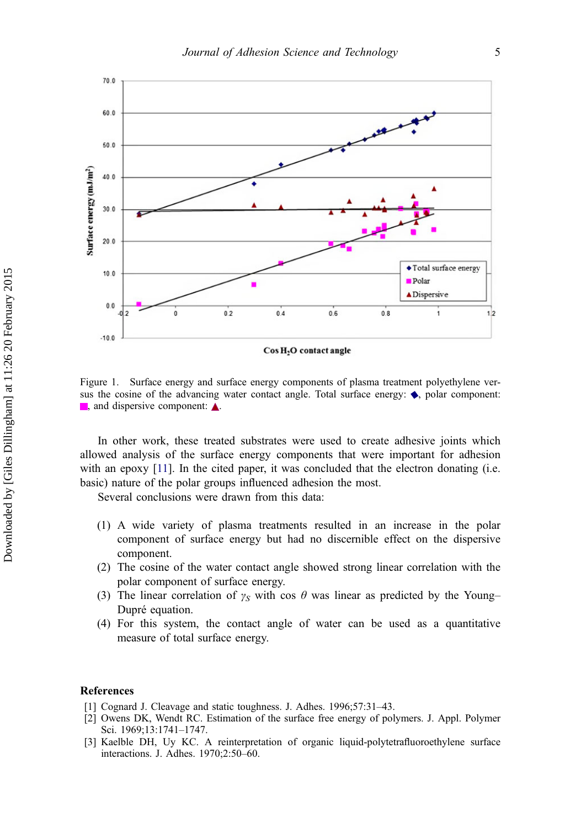<span id="page-6-0"></span>

Figure 1. Surface energy and surface energy components of plasma treatment polyethylene versus the cosine of the advancing water contact angle. Total surface energy:  $\bullet$ , polar component:  $\blacksquare$ , and dispersive component:  $\blacktriangle$ .

In other work, these treated substrates were used to create adhesive joints which allowed analysis of the surface energy components that were important for adhesion with an epoxy [\[11\]](#page-7-0). In the cited paper, it was concluded that the electron donating (i.e. basic) nature of the polar groups influenced adhesion the most.

Several conclusions were drawn from this data:

- (1) A wide variety of plasma treatments resulted in an increase in the polar component of surface energy but had no discernible effect on the dispersive component.
- (2) The cosine of the water contact angle showed strong linear correlation with the polar component of surface energy.
- (3) The linear correlation of  $\gamma_S$  with cos  $\theta$  was linear as predicted by the Young– Dupré equation.
- (4) For this system, the contact angle of water can be used as a quantitative measure of total surface energy.

# References

- [1] Cognard J. Cleavage and static toughness. J. Adhes. 1996;57:31–43.
- [2] Owens DK, Wendt RC. Estimation of the surface free energy of polymers. J. Appl. Polymer Sci. 1969;13:1741–1747.
- [3] Kaelble DH, Uy KC. A reinterpretation of organic liquid-polytetrafluoroethylene surface interactions. J. Adhes. 1970;2:50–60.